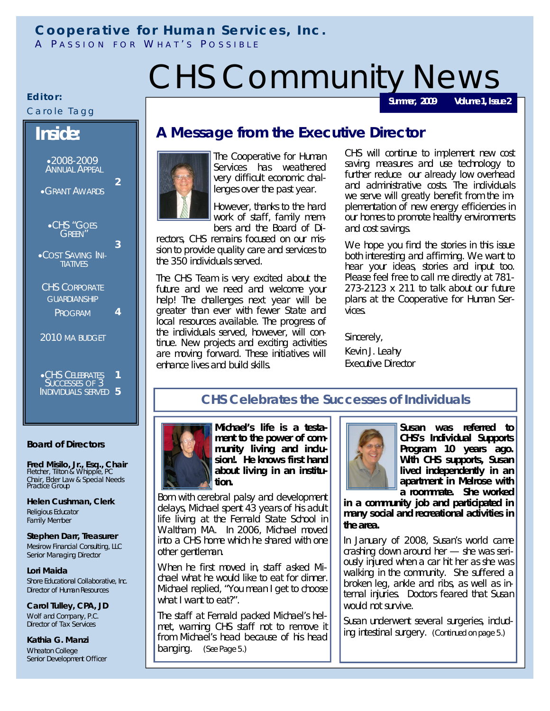## **Cooperative for Human Services, Inc.**

A PASSION FOR WHAT'S POSSIBLE

# CHS Community News

**Summer, 2009 Volume 1, Issue 2**

#### Carole Tagg

**Inside:**

CHS "GOES GREEN"

**.COST SAVING INI-TIATIVES** 

CHS CORPORATE **GUARDIANSHIP** PROGRAM

2010 MA BUDGET

**•CHS CELEBRATES** SUCCESSES OF 3 INDIVIDUALS SERVED **5**

Editor:

### **A Message from the Executive Director**



**3**

**4**

**1**

The Cooperative for Human Services has weathered very difficult economic challenges over the past year.

However, thanks to the hard work of staff, family members and the Board of Di-

rectors, CHS remains focused on our mission to provide quality care and services to the 350 individuals served.

The CHS Team is very excited about the future and we need and welcome your help! The challenges next year will be greater than ever with fewer State and local resources available. The progress of the individuals served, however, will continue. New projects and exciting activities are moving forward. These initiatives will enhance lives and build skills.

CHS will continue to implement new cost saving measures and use technology to further reduce our already low overhead and administrative costs. The individuals we serve will greatly benefit from the implementation of new energy efficiencies in our homes to promote healthy environments and cost savings.

We hope you find the stories in this issue both interesting and affirming. We want to hear your ideas, stories and input too. Please feel free to call me directly at 781- 273-2123 x 211 to talk about our future plans at the Cooperative for Human Services.

Sincerely, Kevin J. Leahy Executive Director

#### **CHS Celebrates the Successes of Individuals**

**Board of Directors**

**Fred Misilo, Jr., Esq., Chair**  Fletcher, Tilton & Whipple, PC Chair, Elder Law & Special Needs Practice Group

**Helen Cushman, Clerk** Religious Educator Family Member

**Stephen Darr, Treasurer**  Mesirow Financial Consulting, LLC Senior Managing Director

**Lori Maida** Shore Educational Collaborative, Inc. Director of Human Resources

**Carol Tulley, CPA, JD** Wolf and Company, P.C. Director of Tax Services

**Kathia G. Manzi**  Wheaton College Senior Development Officer



Born with cerebral palsy and development delays, Michael spent 43 years of his adult life living at the Fernald State School in Waltham, MA. In 2006, Michael moved into a CHS home which he shared with one other gentleman.

When he first moved in, staff asked Michael what he would like to eat for dinner. Michael replied, "You mean I get to choose what I want to eat?".

The staff at Fernald packed Michael's helmet, warning CHS staff not to remove it from Michael's head because of his head banging. *(See Page 5.)*



**Susan was referred to CHS's Individual Supports Program 10 years ago. With CHS supports, Susan lived independently in an apartment in Melrose with a roommate. She worked** 

**in a community job and participated in many social and recreational activities in the area.** 

In January of 2008, Susan's world came crashing down around her — she was seriously injured when a car hit her as she was walking in the community. She suffered a broken leg, ankle and ribs, as well as internal injuries. Doctors feared that Susan would not survive.

Susan underwent several surgeries, including intestinal surgery. *(Continued on page 5.)*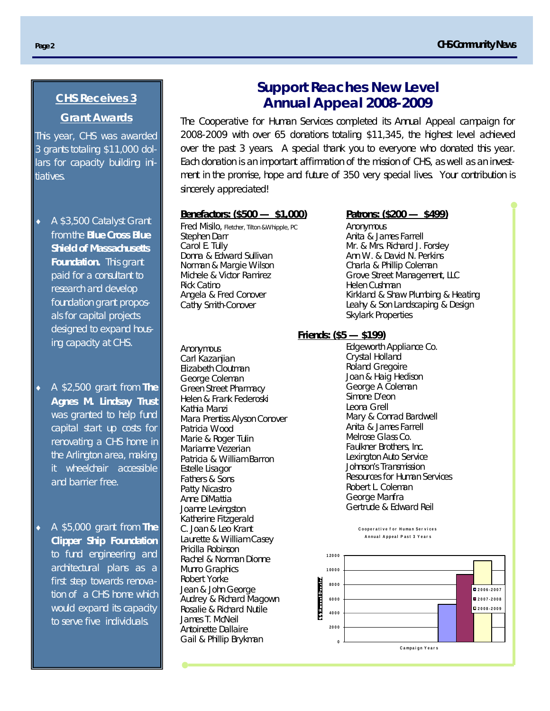#### **CHS Receives 3 Grant Awards**

This year, CHS was awarded 3 grants totaling \$11,000 dollars for capacity building initiatives.

- ◆ A \$3,500 Catalyst Grant from the **Blue Cross Blue Shield of Massachusetts Foundation.** This grant paid for a consultant to research and develop foundation grant proposals for capital projects designed to expand housing capacity at CHS.
- A \$2,500 grant from **The Agnes M. Lindsay Trust**  was granted to help fund capital start up costs for renovating a CHS home in the Arlington area, making it wheelchair accessible and barrier free.
- A \$5,000 grant from **The Clipper Ship Foundation** to fund engineering and architectural plans as a first step towards renovation of a CHS home which would expand its capacity to serve five individuals.

#### **Support Reaches New Level Annual Appeal 2008-2009**

The Cooperative for Human Services completed its Annual Appeal campaign for 2008-2009 with over 65 donations totaling \$11,345, the highest level achieved over the past 3 years. A special thank you to everyone who donated this year. Each donation is an important affirmation of the mission of CHS, as well as an investment in the promise, hope and future of 350 very special lives. Your contribution is sincerely appreciated!

#### **Benefactors: (\$500 — \$1,000)**

Fred Misilo, Fletcher, Tilton &Whipple, PC Stephen Darr Carol E. Tully Donna & Edward Sullivan Norman & Margie Wilson Michele & Victor Ramirez Rick Catino Angela & Fred Conover Cathy Smith-Conover

Anonymous Carl Kazanjian Elizabeth Cloutman George Coleman Green Street Pharmacy Helen & Frank Federoski Kathia Manzi Mara Prentiss Alyson Conover Patricia Wood Marie & Roger Tulin Marianne Vezerian Patricia & William Barron Estelle Lisagor Fathers & Sons Patty Nicastro Anne DiMattia Joanne Levingston Katherine Fitzgerald C. Joan & Leo Krant Laurette & William Casey Pricilla Robinson Rachel & Norman Dionne Munro Graphics Robert Yorke Jean & John George Audrey & Richard Magown Rosalie & Richard Nutile James T. McNeil Antoinette Dallaire Gail & Phillip Brykman

#### **Patrons: (\$200 — \$499)**

Anonymous Anita & James Farrell Mr. & Mrs. Richard J. Forsley Ann W. & David N. Perkins Charla & Phillip Coleman Grove Street Management, LLC Helen Cushman Kirkland & Shaw Plumbing & Heating Leahy & Son Landscaping & Design Skylark Properties

#### **Friends: (\$5 — \$199)**

Edgeworth Appliance Co. Crystal Holland Roland Gregoire Joan & Haig Hedison George A Coleman Simone D'eon Leona Grell Mary & Conrad Bardwell Anita & James Farrell Melrose Glass Co. Faulkner Brothers, Inc. Lexington Auto Service Johnson's Transmission Resources for Human Services Robert L. Coleman George Manfra Gertrude & Edward Reil

> **C o o p e r a t i v e f o r H u ma n S e r v i c e s A n n u a l A p p e a l P a s t 3 Y e a r s**

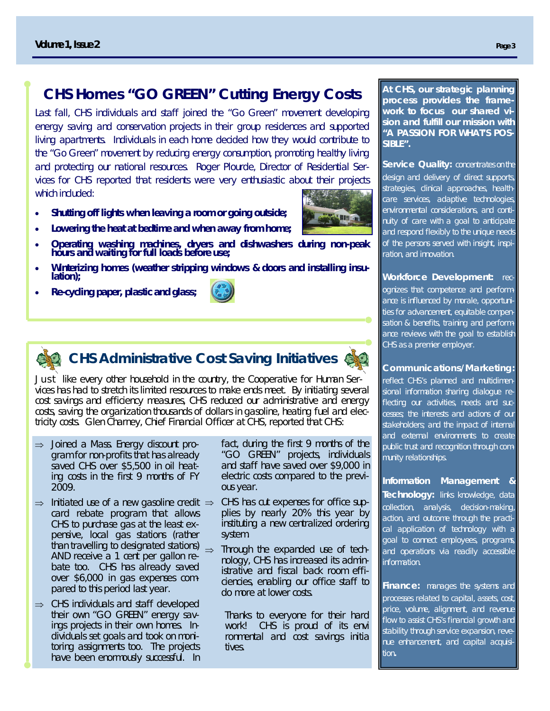#### **CHS Homes "GO GREEN" Cutting Energy Costs**

Last fall, CHS individuals and staff joined the "Go Green" movement developing energy saving and conservation projects in their group residences and supported living apartments. Individuals in each home decided how they would contribute to the "Go Green" movement by reducing energy consumption, promoting healthy living and protecting our national resources. Roger Plourde, Director of Residential Services for CHS reported that residents were very enthusiastic about their projects which included:

- **Shutting off lights when leaving a room or going outside;** 
	- **Lowering the heat at bedtime and when away from home;**
- **Operating washing machines, dryers and dishwashers during non-peak hours and waiting for full loads before use;**
- **Winterizing homes (weather stripping windows & doors and installing insulation);**
- **Re-cycling paper, plastic and glass;**



## **CHS Administrative Cost Saving Initiatives**

Just like every other household in the country, the Cooperative for Human Services has had to stretch its limited resources to make ends meet. By initiating several cost savings and efficiency measures, CHS reduced our administrative and energy costs, saving the organization thousands of dollars in gasoline, heating fuel and electricity costs. Glen Charney, Chief Financial Officer at CHS, reported that CHS:

- $\Rightarrow$  Joined a Mass. Energy discount program for non-profits that has already saved CHS over \$5,500 in oil heating costs in the first 9 months of FY 2009.
- $\Rightarrow$  Initiated use of a new gasoline credit  $\Rightarrow$ card rebate program that allows CHS to purchase gas at the least expensive, local gas stations (rather than travelling to designated stations)  $\Rightarrow$ AND receive a 1 cent per gallon rebate too. CHS has already saved over \$6,000 in gas expenses compared to this period last year.
- $\Rightarrow$  CHS individuals and staff developed their own "GO GREEN" energy savings projects in their own homes. Individuals set goals and took on monitoring assignments too. The projects have been enormously successful. In

fact, during the first 9 months of the "GO GREEN" projects, individuals and staff have saved over \$9,000 in electric costs compared to the previous year.

- CHS has cut expenses for office supplies by nearly 20% this year by instituting a new centralized ordering system.
- Through the expanded use of technology, CHS has increased its administrative and fiscal back room efficiencies, enabling our office staff to do more at lower costs.

Thanks to everyone for their hard work! CHS is proud of its envi ronmental and cost savings initia tives.

**At CHS, our strategic planning process provides the framework to focus our shared vision and fulfill our mission with "A PASSION FOR WHAT'S POS-SIBLE".** 

**Service Quality: concentrates on the** design and delivery of direct supports, strategies, clinical approaches, healthcare services, adaptive technologies, environmental considerations, and continuity of care with a goal to anticipate and respond flexibly to the unique needs of the persons served with insight, inspiration, and innovation.

**Workforce Development:** recognizes that competence and performance is influenced by morale, opportunities for advancement, equitable compensation & benefits, training and performance reviews with the goal to establish CHS as a premier employer.

#### **Communications/Marketing:**

reflect CHS's planned and multidimensional information sharing dialogue reflecting our activities, needs and successes; the interests and actions of our stakeholders; and the impact of internal and external environments to create public trust and recognition through community relationships.

**Information Management Technology:** links knowledge, data collection, analysis, decision-making, action, and outcome through the practical application of technology with a goal to connect employees, programs, and operations via readily accessible information.

**Finance:** manages the systems and processes related to capital, assets, cost, price, volume, alignment, and revenue flow to assist CHS's financial growth and stability through service expansion, revenue enhancement, and capital acquisition**.**

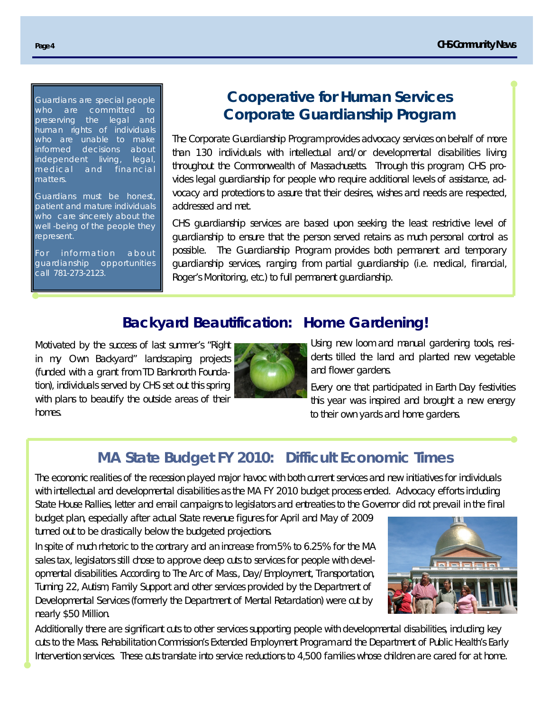Guardians are special people who are committed to preserving the legal and human rights of individuals who are unable to make informed decisions about independent living, legal, medical and financial matters.

Guardians must be honest, patient and mature individuals who care sincerely about the well -being of the people they represent.

For information about guardianship opportunities call 781-273-2123.

## **Cooperative for Human Services Corporate Guardianship Program**

The Corporate Guardianship Program provides advocacy services on behalf of more than 130 individuals with intellectual and/or developmental disabilities living throughout the Commonwealth of Massachusetts. Through this program, CHS provides legal guardianship for people who require additional levels of assistance, advocacy and protections to assure that their desires, wishes and needs are respected, addressed and met.

CHS guardianship services are based upon seeking the least restrictive level of guardianship to ensure that the person served retains as much personal control as possible. The Guardianship Program provides both permanent and temporary guardianship services, ranging from partial guardianship (i.e. medical, financial, Roger's Monitoring, etc.) to full permanent guardianship.

#### **Backyard Beautification: Home Gardening!**

Motivated by the success of last summer's "Right in my Own Backyard" landscaping projects (funded with a grant from TD Banknorth Foundation), individuals served by CHS set out this spring with plans to beautify the outside areas of their homes.



Using new loom and manual gardening tools, residents tilled the land and planted new vegetable and flower gardens.

Every one that participated in Earth Day festivities this year was inspired and brought a new energy to their own yards and home gardens.

## **MA State Budget FY 2010: Difficult Economic Times**

The economic realities of the recession played major havoc with both current services and new initiatives for individuals with intellectual and developmental disabilities as the MA FY 2010 budget process ended. Advocacy efforts including State House Rallies, letter and email campaigns to legislators and entreaties to the Governor did not prevail in the final

budget plan, especially after actual State revenue figures for April and May of 2009 turned out to be drastically below the budgeted projections.

In spite of much rhetoric to the contrary and an increase from 5% to 6.25% for the MA sales tax, legislators still chose to approve deep cuts to services for people with developmental disabilities. According to The Arc of Mass., Day/Employment, Transportation, Turning 22, Autism, Family Support and other services provided by the Department of Developmental Services (formerly the Department of Mental Retardation) were cut by nearly \$50 Million.



Additionally there are significant cuts to other services supporting people with developmental disabilities, including key cuts to the Mass. Rehabilitation Commission's Extended Employment Program and the Department of Public Health's Early Intervention services. These cuts translate into service reductions to 4,500 families whose children are cared for at home.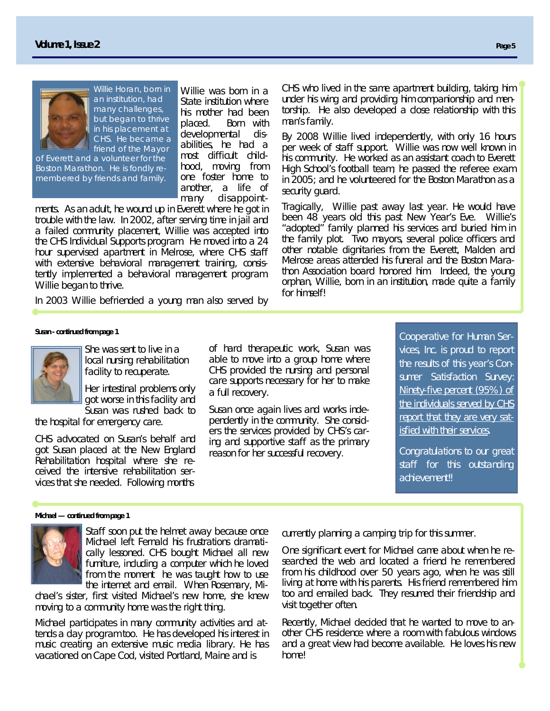

Willie Horan, born in an institution, had many challenges, but began to thrive in his placement at CHS. He became a friend of the Mayor

of Everett and a volunteer for the Boston Marathon. He is fondly remembered by friends and family.

Willie was born in a State institution where his mother had been placed. Born with developmental disabilities, he had a most difficult childhood, moving from one foster home to another, a life of many disappoint-

ments. As an adult, he wound up in Everett where he got in trouble with the law. In 2002, after serving time in jail and a failed community placement, Willie was accepted into the CHS Individual Supports program. He moved into a 24 hour supervised apartment in Melrose, where CHS staff with extensive behavioral management training, consistently implemented a behavioral management program. Willie began to thrive.

In 2003 Willie befriended a young man also served by

CHS who lived in the same apartment building, taking him under his wing and providing him companionship and mentorship. He also developed a close relationship with this man's family.

By 2008 Willie lived independently, with only 16 hours per week of staff support. Willie was now well known in his community. He worked as an assistant coach to Everett High School's football team; he passed the referee exam in 2005; and he volunteered for the Boston Marathon as a security guard.

Tragically, Willie past away last year. He would have been 48 years old this past New Year's Eve. Willie's "adopted" family planned his services and buried him in the family plot. Two mayors, several police officers and other notable dignitaries from the Everett, Malden and Melrose areas attended his funeral and the Boston Marathon Association board honored him. Indeed, the young orphan, Willie, born in an institution, made quite a family for himself!

#### *Susan - continued from page 1*



She was sent to live in a local nursing rehabilitation facility to recuperate.

Her intestinal problems only got worse in this facility and Susan was rushed back to

the hospital for emergency care.

CHS advocated on Susan's behalf and got Susan placed at the New England Rehabilitation hospital where she received the intensive rehabilitation services that she needed. Following months

of hard therapeutic work, Susan was able to move into a group home where CHS provided the nursing and personal care supports necessary for her to make a full recovery.

Susan once again lives and works independently in the community. She considers the services provided by CHS's caring and supportive staff as the primary reason for her successful recovery.

Cooperative for Human Services, Inc. is proud to report the results of this year's Consumer Satisfaction Survey: *Ninety-five percent (95%) of the individuals served by CHS report that they are very satisfied with their services.* 

Congratulations to our great staff for this outstanding achievement!!

#### *Michael — continued from page 1*



Staff soon put the helmet away because once Michael left Fernald his frustrations dramatically lessoned. CHS bought Michael all new furniture, including a computer which he loved from the moment he was taught how to use the internet and email. When Rosemary, Mi-

chael's sister, first visited Michael's new home, she knew moving to a community home was the right thing.

Michael participates in many community activities and attends a day program too. He has developed his interest in music creating an extensive music media library. He has vacationed on Cape Cod, visited Portland, Maine and is

currently planning a camping trip for this summer.

One significant event for Michael came about when he researched the web and located a friend he remembered from his childhood over 50 years ago, when he was still living at home with his parents. His friend remembered him too and emailed back. They resumed their friendship and visit together often.

Recently, Michael decided that he wanted to move to another CHS residence where a room with fabulous windows and a great view had become available. He loves his new home!